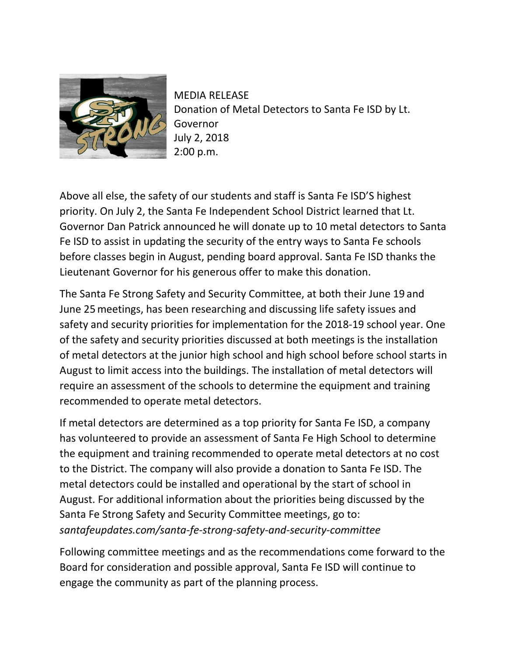

MEDIA RELEASE Donation of Metal Detectors to Santa Fe ISD by Lt. Governor July 2, 2018 2:00 p.m.

Above all else, the safety of our students and staff is Santa Fe ISD'S highest priority. On July 2, the Santa Fe Independent School District learned that Lt. Governor Dan Patrick announced he will donate up to 10 metal detectors to Santa Fe ISD to assist in updating the security of the entry ways to Santa Fe schools before classes begin in August, pending board approval. Santa Fe ISD thanks the Lieutenant Governor for his generous offer to make this donation.

The Santa Fe Strong Safety and Security Committee, at both their June 19 and June 25meetings, has been researching and discussing life safety issues and safety and security priorities for implementation for the 2018-19 school year. One of the safety and security priorities discussed at both meetings is the installation of metal detectors at the junior high school and high school before school starts in August to limit access into the buildings. The installation of metal detectors will require an assessment of the schools to determine the equipment and training recommended to operate metal detectors.

If metal detectors are determined as a top priority for Santa Fe ISD, a company has volunteered to provide an assessment of Santa Fe High School to determine the equipment and training recommended to operate metal detectors at no cost to the District. The company will also provide a donation to Santa Fe ISD. The metal detectors could be installed and operational by the start of school in August. For additional information about the priorities being discussed by the Santa Fe Strong Safety and Security Committee meetings, go to: *santafeupdates.com/santa-fe-strong-safety-and-security-committee*

Following committee meetings and as the recommendations come forward to the Board for consideration and possible approval, Santa Fe ISD will continue to engage the community as part of the planning process.